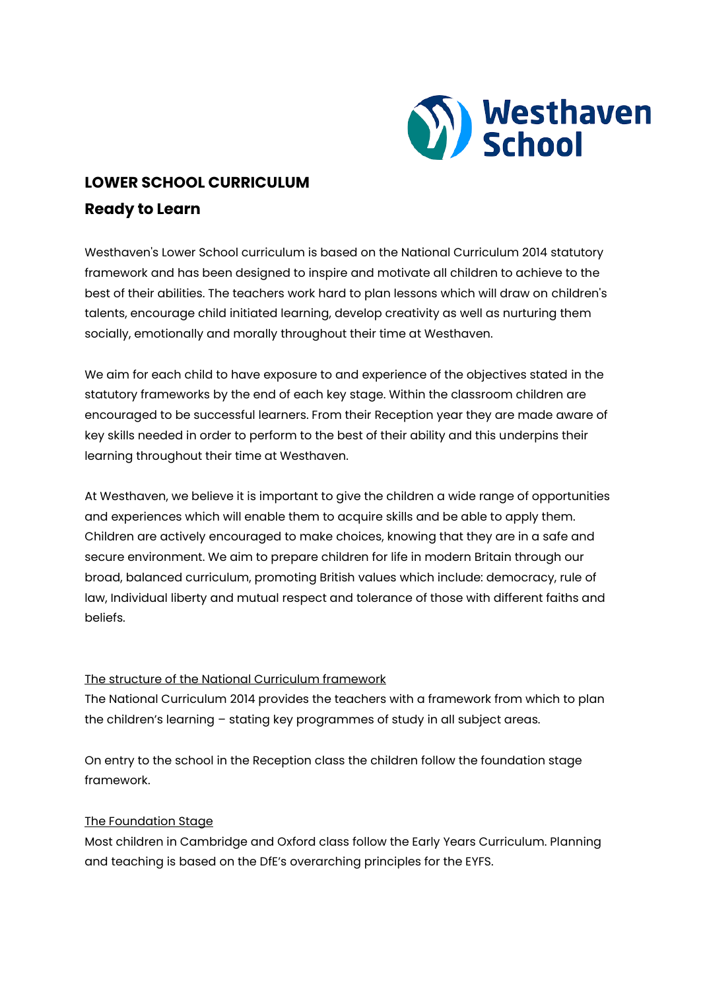

# **LOWER SCHOOL CURRICULUM Ready to Learn**

Westhaven's Lower School curriculum is based on the National Curriculum 2014 statutory framework and has been designed to inspire and motivate all children to achieve to the best of their abilities. The teachers work hard to plan lessons which will draw on children's talents, encourage child initiated learning, develop creativity as well as nurturing them socially, emotionally and morally throughout their time at Westhaven.

We aim for each child to have exposure to and experience of the objectives stated in the statutory frameworks by the end of each key stage. Within the classroom children are encouraged to be successful learners. From their Reception year they are made aware of key skills needed in order to perform to the best of their ability and this underpins their learning throughout their time at Westhaven.

At Westhaven, we believe it is important to give the children a wide range of opportunities and experiences which will enable them to acquire skills and be able to apply them. Children are actively encouraged to make choices, knowing that they are in a safe and secure environment. We aim to prepare children for life in modern Britain through our broad, balanced curriculum, promoting British values which include: democracy, rule of law, Individual liberty and mutual respect and tolerance of those with different faiths and beliefs.

## The structure of the National Curriculum framework

The National Curriculum 2014 provides the teachers with a framework from which to plan the children's learning – stating key programmes of study in all subject areas.

On entry to the school in the Reception class the children follow the foundation stage framework.

## The Foundation Stage

Most children in Cambridge and Oxford class follow the Early Years Curriculum. Planning and teaching is based on the DfE's overarching principles for the EYFS.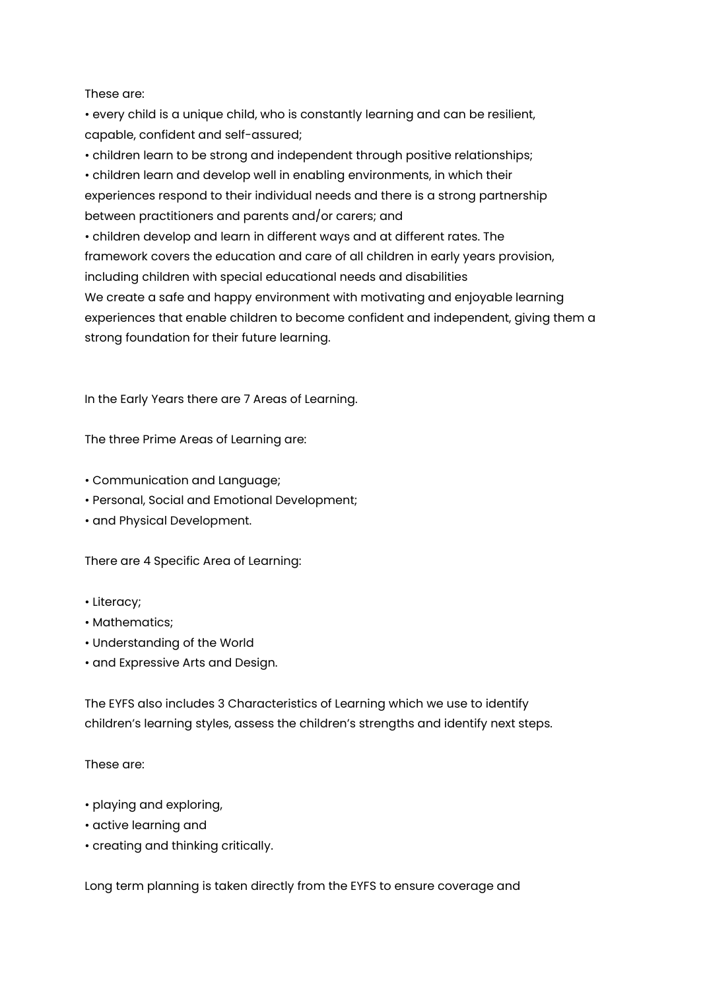#### These are:

• every child is a unique child, who is constantly learning and can be resilient, capable, confident and self-assured;

• children learn to be strong and independent through positive relationships;

• children learn and develop well in enabling environments, in which their experiences respond to their individual needs and there is a strong partnership between practitioners and parents and/or carers; and

• children develop and learn in different ways and at different rates. The framework covers the education and care of all children in early years provision, including children with special educational needs and disabilities

We create a safe and happy environment with motivating and enjoyable learning experiences that enable children to become confident and independent, giving them a strong foundation for their future learning.

In the Early Years there are 7 Areas of Learning.

The three Prime Areas of Learning are:

- Communication and Language;
- Personal, Social and Emotional Development;
- and Physical Development.

There are 4 Specific Area of Learning:

- Literacy;
- Mathematics;
- Understanding of the World
- and Expressive Arts and Design.

The EYFS also includes 3 Characteristics of Learning which we use to identify children's learning styles, assess the children's strengths and identify next steps.

These are:

- playing and exploring,
- active learning and
- creating and thinking critically.

Long term planning is taken directly from the EYFS to ensure coverage and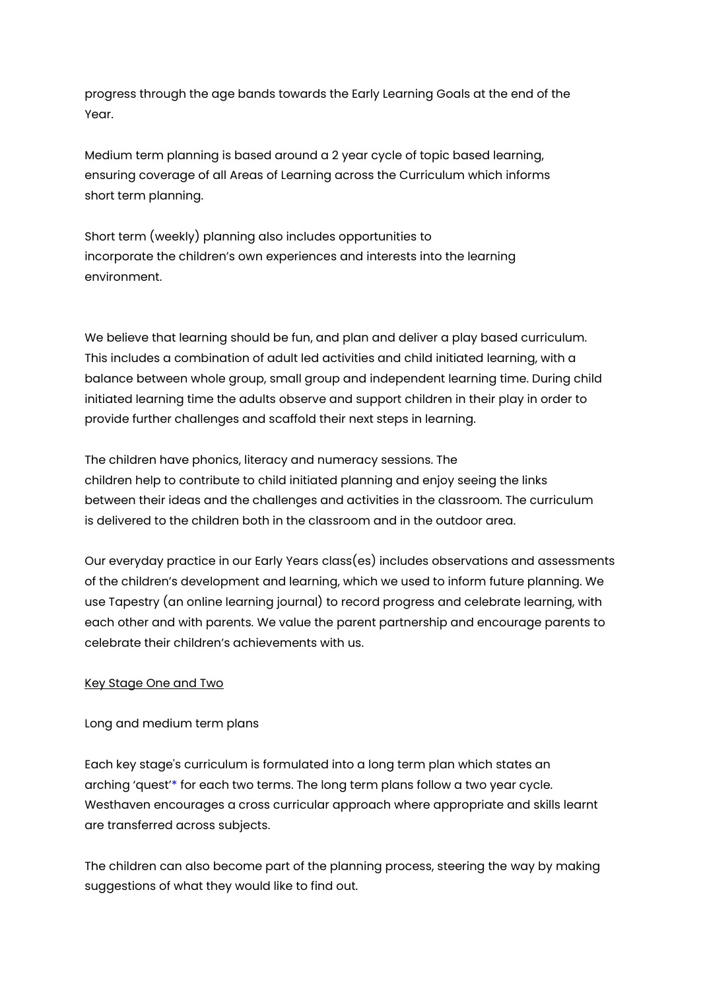progress through the age bands towards the Early Learning Goals at the end of the Year.

Medium term planning is based around a 2 year cycle of topic based learning, ensuring coverage of all Areas of Learning across the Curriculum which informs short term planning.

Short term (weekly) planning also includes opportunities to incorporate the children's own experiences and interests into the learning environment.

We believe that learning should be fun, and plan and deliver a play based curriculum. This includes a combination of adult led activities and child initiated learning, with a balance between whole group, small group and independent learning time. During child initiated learning time the adults observe and support children in their play in order to provide further challenges and scaffold their next steps in learning.

The children have phonics, literacy and numeracy sessions. The children help to contribute to child initiated planning and enjoy seeing the links between their ideas and the challenges and activities in the classroom. The curriculum is delivered to the children both in the classroom and in the outdoor area.

Our everyday practice in our Early Years class(es) includes observations and assessments of the children's development and learning, which we used to inform future planning. We use Tapestry (an online learning journal) to record progress and celebrate learning, with each other and with parents. We value the parent partnership and encourage parents to celebrate their children's achievements with us.

## Key Stage One and Two

## Long and medium term plans

Each key stage's curriculum is formulated into a long term plan which states an arching 'quest'\* for each two terms. The long term plans follow a two year cycle. Westhaven encourages a cross curricular approach where appropriate and skills learnt are transferred across subjects.

The children can also become part of the planning process, steering the way by making suggestions of what they would like to find out.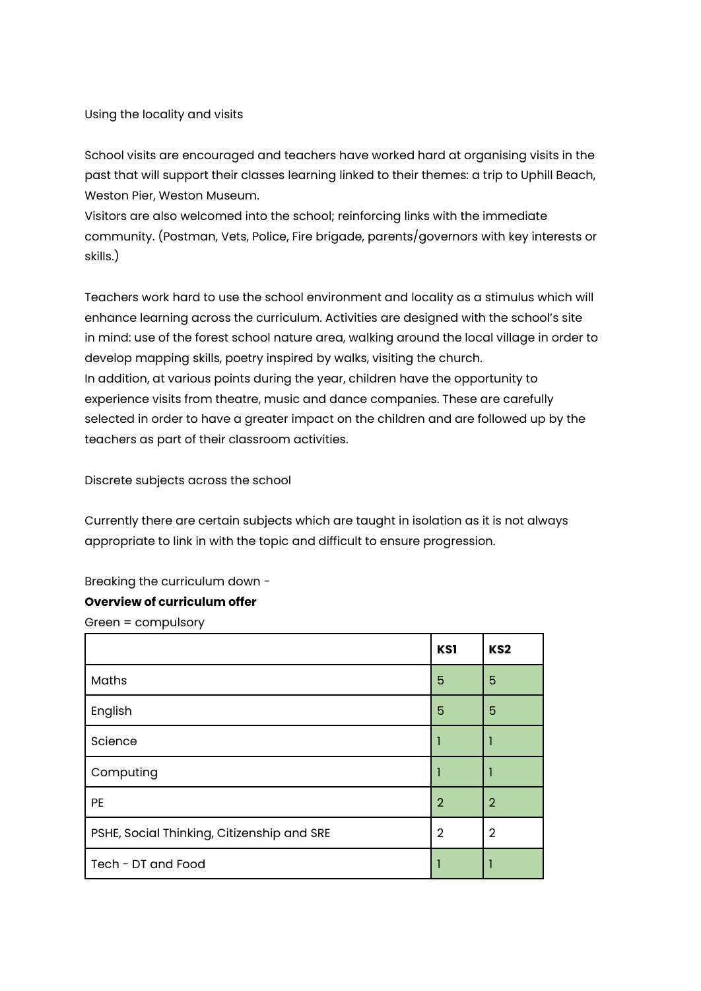#### Using the locality and visits

School visits are encouraged and teachers have worked hard at organising visits in the past that will support their classes learning linked to their themes: a trip to Uphill Beach, Weston Pier, Weston Museum.

Visitors are also welcomed into the school; reinforcing links with the immediate community. (Postman, Vets, Police, Fire brigade, parents/governors with key interests or skills.)

Teachers work hard to use the school environment and locality as a stimulus which will enhance learning across the curriculum. Activities are designed with the school's site in mind: use of the forest school nature area, walking around the local village in order to develop mapping skills, poetry inspired by walks, visiting the church. In addition, at various points during the year, children have the opportunity to experience visits from theatre, music and dance companies. These are carefully selected in order to have a greater impact on the children and are followed up by the teachers as part of their classroom activities.

Discrete subjects across the school

Currently there are certain subjects which are taught in isolation as it is not always appropriate to link in with the topic and difficult to ensure progression.

Breaking the curriculum down -

## **Overview of curriculum offer**

Green = compulsory

|                                            | KS1            | KS <sub>2</sub> |
|--------------------------------------------|----------------|-----------------|
| Maths                                      | 5              | 5               |
| English                                    | 5              | 5               |
| Science                                    |                |                 |
| Computing                                  |                |                 |
| PE                                         | $\overline{2}$ | $\overline{2}$  |
| PSHE, Social Thinking, Citizenship and SRE | $\overline{2}$ | $\overline{2}$  |
| Tech - DT and Food                         |                |                 |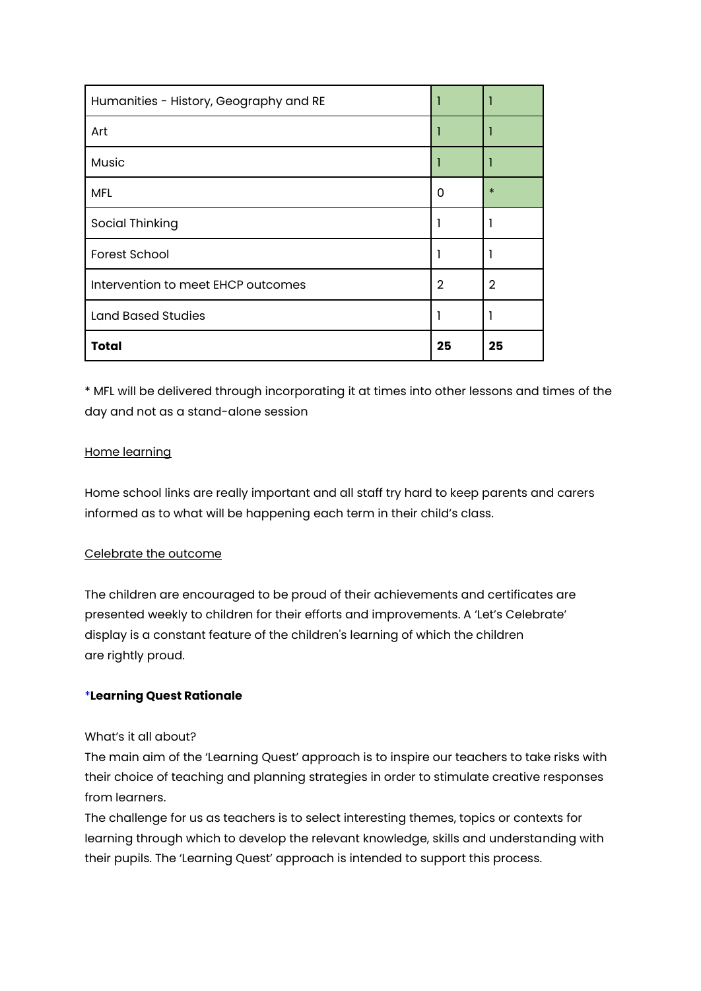| Humanities - History, Geography and RE |    |                |
|----------------------------------------|----|----------------|
| Art                                    |    |                |
| Music                                  |    |                |
| <b>MFL</b>                             | 0  | $\ast$         |
| Social Thinking                        |    |                |
| <b>Forest School</b>                   |    |                |
| Intervention to meet EHCP outcomes     | 2  | $\overline{2}$ |
| <b>Land Based Studies</b>              |    |                |
| <b>Total</b>                           | 25 | 25             |

\* MFL will be delivered through incorporating it at times into other lessons and times of the day and not as a stand-alone session

## Home learning

Home school links are really important and all staff try hard to keep parents and carers informed as to what will be happening each term in their child's class.

## Celebrate the outcome

The children are encouraged to be proud of their achievements and certificates are presented weekly to children for their efforts and improvements. A 'Let's Celebrate' display is a constant feature of the children's learning of which the children are rightly proud.

# \***Learning Quest Rationale**

## What's it all about?

The main aim of the 'Learning Quest' approach is to inspire our teachers to take risks with their choice of teaching and planning strategies in order to stimulate creative responses from learners.

The challenge for us as teachers is to select interesting themes, topics or contexts for learning through which to develop the relevant knowledge, skills and understanding with their pupils. The 'Learning Quest' approach is intended to support this process.